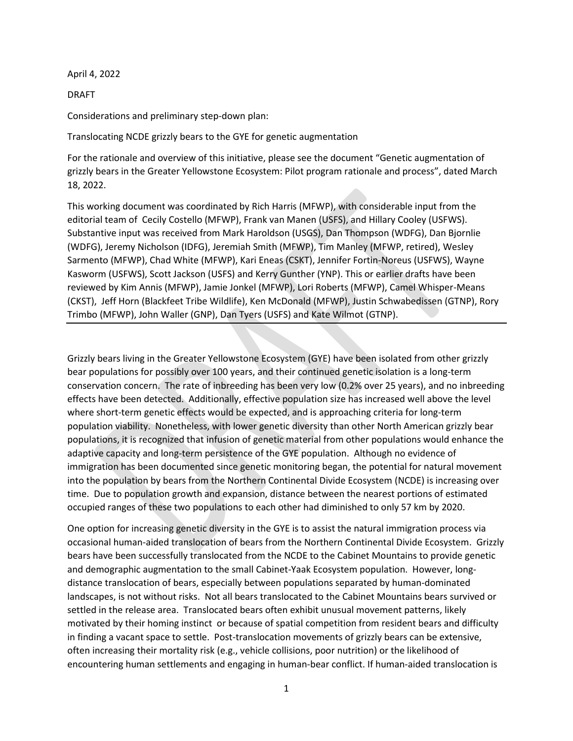April 4, 2022

DRAFT

Considerations and preliminary step-down plan:

Translocating NCDE grizzly bears to the GYE for genetic augmentation

For the rationale and overview of this initiative, please see the document "Genetic augmentation of grizzly bears in the Greater Yellowstone Ecosystem: Pilot program rationale and process", dated March 18, 2022.

This working document was coordinated by Rich Harris (MFWP), with considerable input from the editorial team of Cecily Costello (MFWP), Frank van Manen (USFS), and Hillary Cooley (USFWS). Substantive input was received from Mark Haroldson (USGS), Dan Thompson (WDFG), Dan Bjornlie (WDFG), Jeremy Nicholson (IDFG), Jeremiah Smith (MFWP), Tim Manley (MFWP, retired), Wesley Sarmento (MFWP), Chad White (MFWP), Kari Eneas (CSKT), Jennifer Fortin-Noreus (USFWS), Wayne Kasworm (USFWS), Scott Jackson (USFS) and Kerry Gunther (YNP). This or earlier drafts have been reviewed by Kim Annis (MFWP), Jamie Jonkel (MFWP), Lori Roberts (MFWP), Camel Whisper-Means (CKST), Jeff Horn (Blackfeet Tribe Wildlife), Ken McDonald (MFWP), Justin Schwabedissen (GTNP), Rory Trimbo (MFWP), John Waller (GNP), Dan Tyers (USFS) and Kate Wilmot (GTNP).

Grizzly bears living in the Greater Yellowstone Ecosystem (GYE) have been isolated from other grizzly bear populations for possibly over 100 years, and their continued genetic isolation is a long-term conservation concern. The rate of inbreeding has been very low (0.2% over 25 years), and no inbreeding effects have been detected. Additionally, effective population size has increased well above the level where short-term genetic effects would be expected, and is approaching criteria for long-term population viability. Nonetheless, with lower genetic diversity than other North American grizzly bear populations, it is recognized that infusion of genetic material from other populations would enhance the adaptive capacity and long-term persistence of the GYE population. Although no evidence of immigration has been documented since genetic monitoring began, the potential for natural movement into the population by bears from the Northern Continental Divide Ecosystem (NCDE) is increasing over time. Due to population growth and expansion, distance between the nearest portions of estimated occupied ranges of these two populations to each other had diminished to only 57 km by 2020.

One option for increasing genetic diversity in the GYE is to assist the natural immigration process via occasional human-aided translocation of bears from the Northern Continental Divide Ecosystem. Grizzly bears have been successfully translocated from the NCDE to the Cabinet Mountains to provide genetic and demographic augmentation to the small Cabinet-Yaak Ecosystem population. However, longdistance translocation of bears, especially between populations separated by human-dominated landscapes, is not without risks. Not all bears translocated to the Cabinet Mountains bears survived or settled in the release area. Translocated bears often exhibit unusual movement patterns, likely motivated by their homing instinct or because of spatial competition from resident bears and difficulty in finding a vacant space to settle. Post-translocation movements of grizzly bears can be extensive, often increasing their mortality risk (e.g., vehicle collisions, poor nutrition) or the likelihood of encountering human settlements and engaging in human-bear conflict. If human-aided translocation is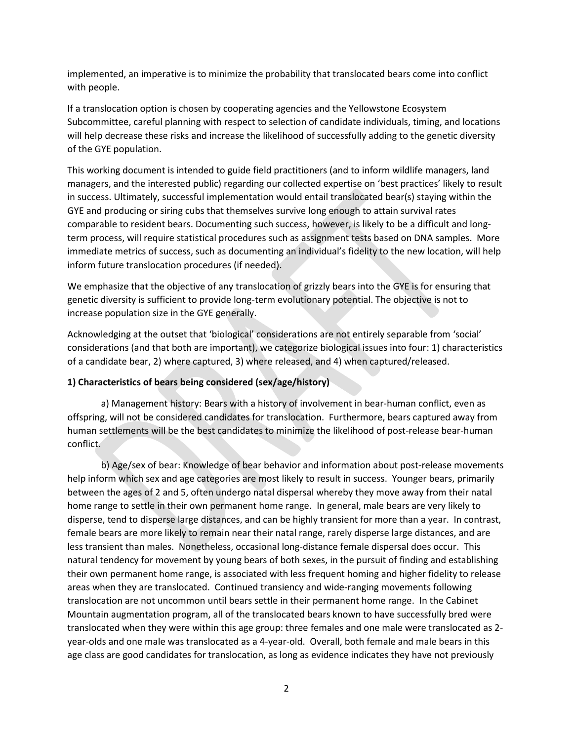implemented, an imperative is to minimize the probability that translocated bears come into conflict with people.

If a translocation option is chosen by cooperating agencies and the Yellowstone Ecosystem Subcommittee, careful planning with respect to selection of candidate individuals, timing, and locations will help decrease these risks and increase the likelihood of successfully adding to the genetic diversity of the GYE population.

This working document is intended to guide field practitioners (and to inform wildlife managers, land managers, and the interested public) regarding our collected expertise on 'best practices' likely to result in success. Ultimately, successful implementation would entail translocated bear(s) staying within the GYE and producing or siring cubs that themselves survive long enough to attain survival rates comparable to resident bears. Documenting such success, however, is likely to be a difficult and longterm process, will require statistical procedures such as assignment tests based on DNA samples. More immediate metrics of success, such as documenting an individual's fidelity to the new location, will help inform future translocation procedures (if needed).

We emphasize that the objective of any translocation of grizzly bears into the GYE is for ensuring that genetic diversity is sufficient to provide long-term evolutionary potential. The objective is not to increase population size in the GYE generally.

Acknowledging at the outset that 'biological' considerations are not entirely separable from 'social' considerations (and that both are important), we categorize biological issues into four: 1) characteristics of a candidate bear, 2) where captured, 3) where released, and 4) when captured/released.

## **1) Characteristics of bears being considered (sex/age/history)**

a) Management history: Bears with a history of involvement in bear-human conflict, even as offspring, will not be considered candidates for translocation. Furthermore, bears captured away from human settlements will be the best candidates to minimize the likelihood of post-release bear-human conflict.

b) Age/sex of bear: Knowledge of bear behavior and information about post-release movements help inform which sex and age categories are most likely to result in success. Younger bears, primarily between the ages of 2 and 5, often undergo natal dispersal whereby they move away from their natal home range to settle in their own permanent home range. In general, male bears are very likely to disperse, tend to disperse large distances, and can be highly transient for more than a year. In contrast, female bears are more likely to remain near their natal range, rarely disperse large distances, and are less transient than males. Nonetheless, occasional long-distance female dispersal does occur. This natural tendency for movement by young bears of both sexes, in the pursuit of finding and establishing their own permanent home range, is associated with less frequent homing and higher fidelity to release areas when they are translocated. Continued transiency and wide-ranging movements following translocation are not uncommon until bears settle in their permanent home range. In the Cabinet Mountain augmentation program, all of the translocated bears known to have successfully bred were translocated when they were within this age group: three females and one male were translocated as 2 year-olds and one male was translocated as a 4-year-old. Overall, both female and male bears in this age class are good candidates for translocation, as long as evidence indicates they have not previously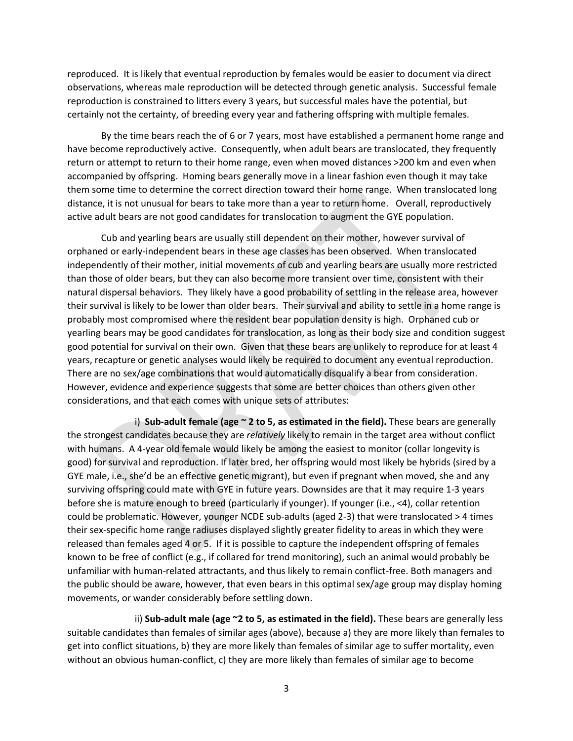reproduced. It is likely that eventual reproduction by females would be easier to document via direct observations, whereas male reproduction will be detected through genetic analysis. Successful female reproduction is constrained to litters every 3 years, but successful males have the potential, but certainly not the certainty, of breeding every year and fathering offspring with multiple females.

By the time bears reach the of 6 or 7 years, most have established a permanent home range and have become reproductively active. Consequently, when adult bears are translocated, they frequently return or attempt to return to their home range, even when moved distances >200 km and even when accompanied by offspring. Homing bears generally move in a linear fashion even though it may take them some time to determine the correct direction toward their home range. When translocated long distance, it is not unusual for bears to take more than a year to return home. Overall, reproductively active adult bears are not good candidates for translocation to augment the GYE population.

Cub and yearling bears are usually still dependent on their mother, however survival of orphaned or early-independent bears in these age classes has been observed. When translocated independently of their mother, initial movements of cub and yearling bears are usually more restricted than those of older bears, but they can also become more transient over time, consistent with their natural dispersal behaviors. They likely have a good probability of settling in the release area, however their survival is likely to be lower than older bears. Their survival and ability to settle in a home range is probably most compromised where the resident bear population density is high. Orphaned cub or yearling bears may be good candidates for translocation, as long as their body size and condition suggest good potential for survival on their own. Given that these bears are unlikely to reproduce for at least 4 years, recapture or genetic analyses would likely be required to document any eventual reproduction. There are no sex/age combinations that would automatically disqualify a bear from consideration. However, evidence and experience suggests that some are better choices than others given other considerations, and that each comes with unique sets of attributes:

i) **Sub-adult female (age ~ 2 to 5, as estimated in the field).** These bears are generally the strongest candidates because they are *relatively* likely to remain in the target area without conflict with humans. A 4-year old female would likely be among the easiest to monitor (collar longevity is good) for survival and reproduction. If later bred, her offspring would most likely be hybrids (sired by a GYE male, i.e., she'd be an effective genetic migrant), but even if pregnant when moved, she and any surviving offspring could mate with GYE in future years. Downsides are that it may require 1-3 years before she is mature enough to breed (particularly if younger). If younger (i.e., <4), collar retention could be problematic. However, younger NCDE sub-adults (aged 2-3) that were translocated > 4 times their sex-specific home range radiuses displayed slightly greater fidelity to areas in which they were released than females aged 4 or 5. If it is possible to capture the independent offspring of females known to be free of conflict (e.g., if collared for trend monitoring), such an animal would probably be unfamiliar with human-related attractants, and thus likely to remain conflict-free. Both managers and the public should be aware, however, that even bears in this optimal sex/age group may display homing movements, or wander considerably before settling down.

ii) **Sub-adult male (age ~2 to 5, as estimated in the field).** These bears are generally less suitable candidates than females of similar ages (above), because a) they are more likely than females to get into conflict situations, b) they are more likely than females of similar age to suffer mortality, even without an obvious human-conflict, c) they are more likely than females of similar age to become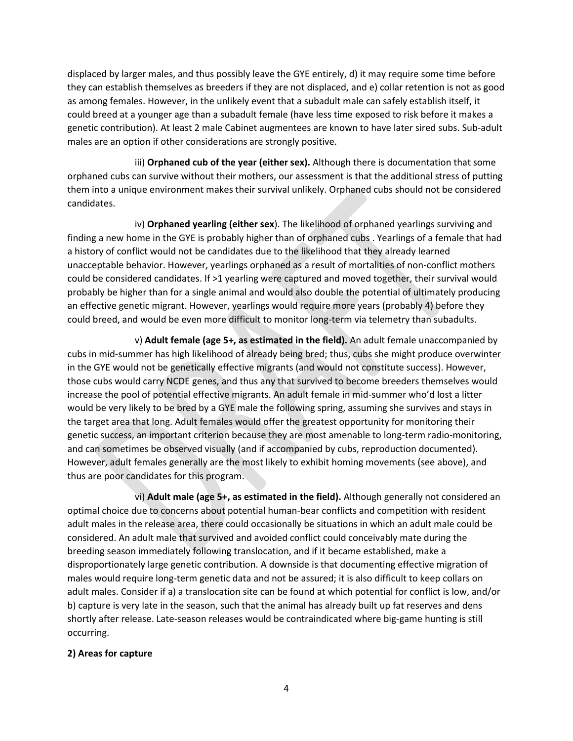displaced by larger males, and thus possibly leave the GYE entirely, d) it may require some time before they can establish themselves as breeders if they are not displaced, and e) collar retention is not as good as among females. However, in the unlikely event that a subadult male can safely establish itself, it could breed at a younger age than a subadult female (have less time exposed to risk before it makes a genetic contribution). At least 2 male Cabinet augmentees are known to have later sired subs. Sub-adult males are an option if other considerations are strongly positive.

iii) **Orphaned cub of the year (either sex).** Although there is documentation that some orphaned cubs can survive without their mothers, our assessment is that the additional stress of putting them into a unique environment makes their survival unlikely. Orphaned cubs should not be considered candidates.

iv) **Orphaned yearling (either sex**). The likelihood of orphaned yearlings surviving and finding a new home in the GYE is probably higher than of orphaned cubs . Yearlings of a female that had a history of conflict would not be candidates due to the likelihood that they already learned unacceptable behavior. However, yearlings orphaned as a result of mortalities of non-conflict mothers could be considered candidates. If >1 yearling were captured and moved together, their survival would probably be higher than for a single animal and would also double the potential of ultimately producing an effective genetic migrant. However, yearlings would require more years (probably 4) before they could breed, and would be even more difficult to monitor long-term via telemetry than subadults.

v) **Adult female (age 5+, as estimated in the field).** An adult female unaccompanied by cubs in mid-summer has high likelihood of already being bred; thus, cubs she might produce overwinter in the GYE would not be genetically effective migrants (and would not constitute success). However, those cubs would carry NCDE genes, and thus any that survived to become breeders themselves would increase the pool of potential effective migrants. An adult female in mid-summer who'd lost a litter would be very likely to be bred by a GYE male the following spring, assuming she survives and stays in the target area that long. Adult females would offer the greatest opportunity for monitoring their genetic success, an important criterion because they are most amenable to long-term radio-monitoring, and can sometimes be observed visually (and if accompanied by cubs, reproduction documented). However, adult females generally are the most likely to exhibit homing movements (see above), and thus are poor candidates for this program.

vi) **Adult male (age 5+, as estimated in the field).** Although generally not considered an optimal choice due to concerns about potential human-bear conflicts and competition with resident adult males in the release area, there could occasionally be situations in which an adult male could be considered. An adult male that survived and avoided conflict could conceivably mate during the breeding season immediately following translocation, and if it became established, make a disproportionately large genetic contribution. A downside is that documenting effective migration of males would require long-term genetic data and not be assured; it is also difficult to keep collars on adult males. Consider if a) a translocation site can be found at which potential for conflict is low, and/or b) capture is very late in the season, such that the animal has already built up fat reserves and dens shortly after release. Late-season releases would be contraindicated where big-game hunting is still occurring.

## **2) Areas for capture**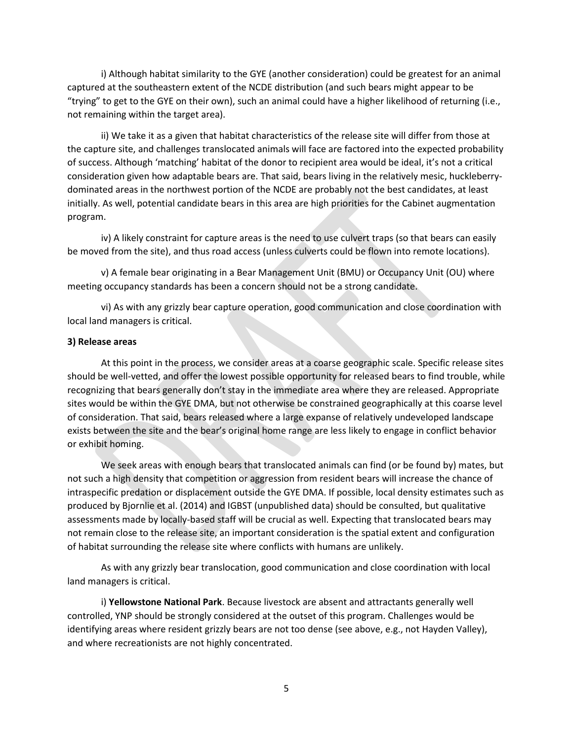i) Although habitat similarity to the GYE (another consideration) could be greatest for an animal captured at the southeastern extent of the NCDE distribution (and such bears might appear to be "trying" to get to the GYE on their own), such an animal could have a higher likelihood of returning (i.e., not remaining within the target area).

ii) We take it as a given that habitat characteristics of the release site will differ from those at the capture site, and challenges translocated animals will face are factored into the expected probability of success. Although 'matching' habitat of the donor to recipient area would be ideal, it's not a critical consideration given how adaptable bears are. That said, bears living in the relatively mesic, huckleberrydominated areas in the northwest portion of the NCDE are probably not the best candidates, at least initially. As well, potential candidate bears in this area are high priorities for the Cabinet augmentation program.

iv) A likely constraint for capture areas is the need to use culvert traps (so that bears can easily be moved from the site), and thus road access (unless culverts could be flown into remote locations).

v) A female bear originating in a Bear Management Unit (BMU) or Occupancy Unit (OU) where meeting occupancy standards has been a concern should not be a strong candidate.

vi) As with any grizzly bear capture operation, good communication and close coordination with local land managers is critical.

#### **3) Release areas**

At this point in the process, we consider areas at a coarse geographic scale. Specific release sites should be well-vetted, and offer the lowest possible opportunity for released bears to find trouble, while recognizing that bears generally don't stay in the immediate area where they are released. Appropriate sites would be within the GYE DMA, but not otherwise be constrained geographically at this coarse level of consideration. That said, bears released where a large expanse of relatively undeveloped landscape exists between the site and the bear's original home range are less likely to engage in conflict behavior or exhibit homing.

We seek areas with enough bears that translocated animals can find (or be found by) mates, but not such a high density that competition or aggression from resident bears will increase the chance of intraspecific predation or displacement outside the GYE DMA. If possible, local density estimates such as produced by Bjornlie et al. (2014) and IGBST (unpublished data) should be consulted, but qualitative assessments made by locally-based staff will be crucial as well. Expecting that translocated bears may not remain close to the release site, an important consideration is the spatial extent and configuration of habitat surrounding the release site where conflicts with humans are unlikely.

As with any grizzly bear translocation, good communication and close coordination with local land managers is critical.

i) **Yellowstone National Park**. Because livestock are absent and attractants generally well controlled, YNP should be strongly considered at the outset of this program. Challenges would be identifying areas where resident grizzly bears are not too dense (see above, e.g., not Hayden Valley), and where recreationists are not highly concentrated.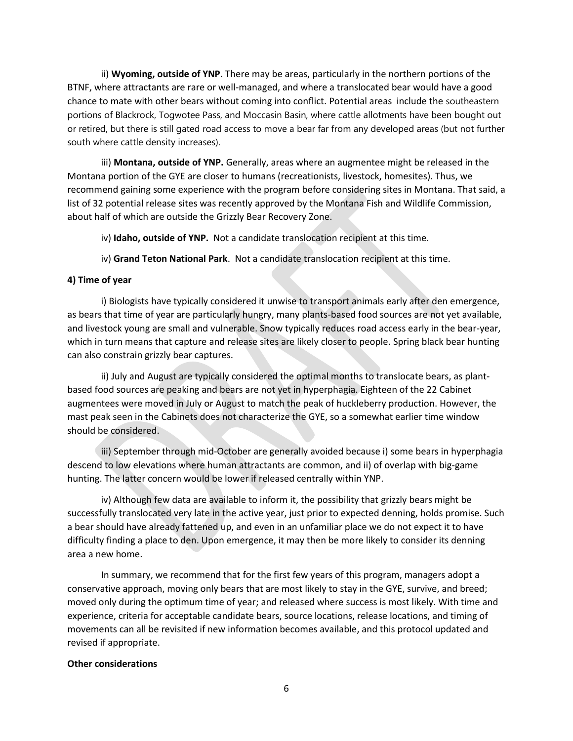ii) **Wyoming, outside of YNP**. There may be areas, particularly in the northern portions of the BTNF, where attractants are rare or well-managed, and where a translocated bear would have a good chance to mate with other bears without coming into conflict. Potential areas include the southeastern portions of Blackrock, Togwotee Pass, and Moccasin Basin, where cattle allotments have been bought out or retired, but there is still gated road access to move a bear far from any developed areas (but not further south where cattle density increases).

iii) **Montana, outside of YNP.** Generally, areas where an augmentee might be released in the Montana portion of the GYE are closer to humans (recreationists, livestock, homesites). Thus, we recommend gaining some experience with the program before considering sites in Montana. That said, a list of 32 potential release sites was recently approved by the Montana Fish and Wildlife Commission, about half of which are outside the Grizzly Bear Recovery Zone.

iv) **Idaho, outside of YNP.** Not a candidate translocation recipient at this time.

iv) **Grand Teton National Park**. Not a candidate translocation recipient at this time.

# **4) Time of year**

i) Biologists have typically considered it unwise to transport animals early after den emergence, as bears that time of year are particularly hungry, many plants-based food sources are not yet available, and livestock young are small and vulnerable. Snow typically reduces road access early in the bear-year, which in turn means that capture and release sites are likely closer to people. Spring black bear hunting can also constrain grizzly bear captures.

ii) July and August are typically considered the optimal months to translocate bears, as plantbased food sources are peaking and bears are not yet in hyperphagia. Eighteen of the 22 Cabinet augmentees were moved in July or August to match the peak of huckleberry production. However, the mast peak seen in the Cabinets does not characterize the GYE, so a somewhat earlier time window should be considered.

iii) September through mid-October are generally avoided because i) some bears in hyperphagia descend to low elevations where human attractants are common, and ii) of overlap with big-game hunting. The latter concern would be lower if released centrally within YNP.

iv) Although few data are available to inform it, the possibility that grizzly bears might be successfully translocated very late in the active year, just prior to expected denning, holds promise. Such a bear should have already fattened up, and even in an unfamiliar place we do not expect it to have difficulty finding a place to den. Upon emergence, it may then be more likely to consider its denning area a new home.

In summary, we recommend that for the first few years of this program, managers adopt a conservative approach, moving only bears that are most likely to stay in the GYE, survive, and breed; moved only during the optimum time of year; and released where success is most likely. With time and experience, criteria for acceptable candidate bears, source locations, release locations, and timing of movements can all be revisited if new information becomes available, and this protocol updated and revised if appropriate.

## **Other considerations**